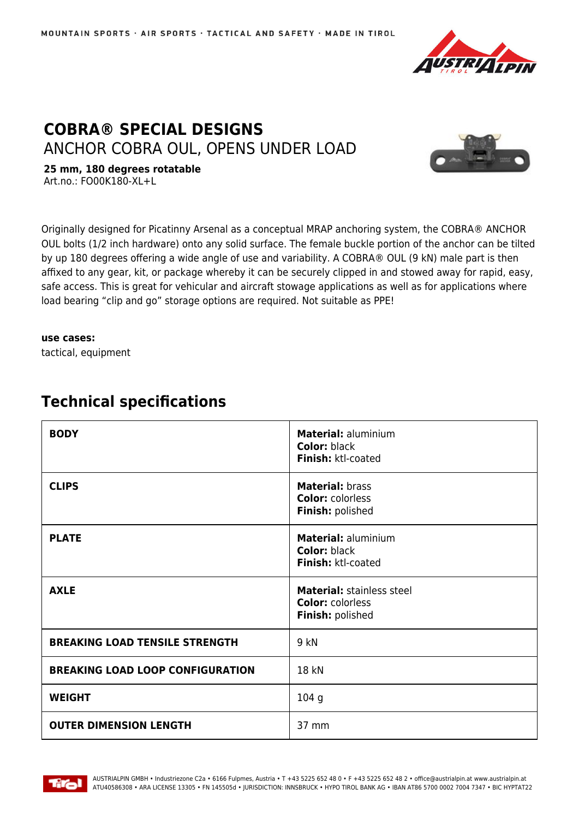

## **COBRA® SPECIAL DESIGNS** ANCHOR COBRA OUL, OPENS UNDER LOAD



**25 mm, 180 degrees rotatable** Art.no.: FO00K180-XL+L

Originally designed for Picatinny Arsenal as a conceptual MRAP anchoring system, the COBRA® ANCHOR OUL bolts (1/2 inch hardware) onto any solid surface. The female buckle portion of the anchor can be tilted by up 180 degrees offering a wide angle of use and variability. A COBRA® OUL (9 kN) male part is then affixed to any gear, kit, or package whereby it can be securely clipped in and stowed away for rapid, easy, safe access. This is great for vehicular and aircraft stowage applications as well as for applications where load bearing "clip and go" storage options are required. Not suitable as PPE!

**use cases:**

tactical, equipment

## **Technical specifications**

| <b>BODY</b>                             | <b>Material: aluminium</b><br><b>Color: black</b><br>Finish: ktl-coated         |
|-----------------------------------------|---------------------------------------------------------------------------------|
| <b>CLIPS</b>                            | <b>Material: brass</b><br><b>Color: colorless</b><br>Finish: polished           |
| <b>PLATE</b>                            | <b>Material: aluminium</b><br><b>Color: black</b><br>Finish: ktl-coated         |
| <b>AXLE</b>                             | <b>Material: stainless steel</b><br><b>Color: colorless</b><br>Finish: polished |
| <b>BREAKING LOAD TENSILE STRENGTH</b>   | 9 kN                                                                            |
| <b>BREAKING LOAD LOOP CONFIGURATION</b> | 18 kN                                                                           |
| <b>WEIGHT</b>                           | 104 <sub>g</sub>                                                                |
| <b>OUTER DIMENSION LENGTH</b>           | 37 mm                                                                           |

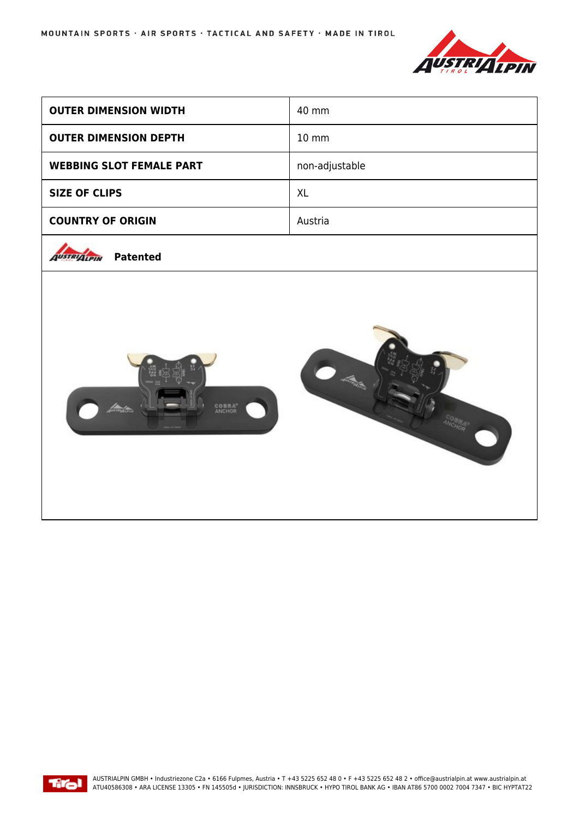

| <b>OUTER DIMENSION WIDTH</b>          | 40 mm             |
|---------------------------------------|-------------------|
| <b>OUTER DIMENSION DEPTH</b>          | $10 \, \text{mm}$ |
| <b>WEBBING SLOT FEMALE PART</b>       | non-adjustable    |
| <b>SIZE OF CLIPS</b>                  | <b>XL</b>         |
| <b>COUNTRY OF ORIGIN</b>              | Austria           |
| <b>Patented</b><br><b>AUSTRIALPIN</b> |                   |
| <b>COBRA</b>                          |                   |